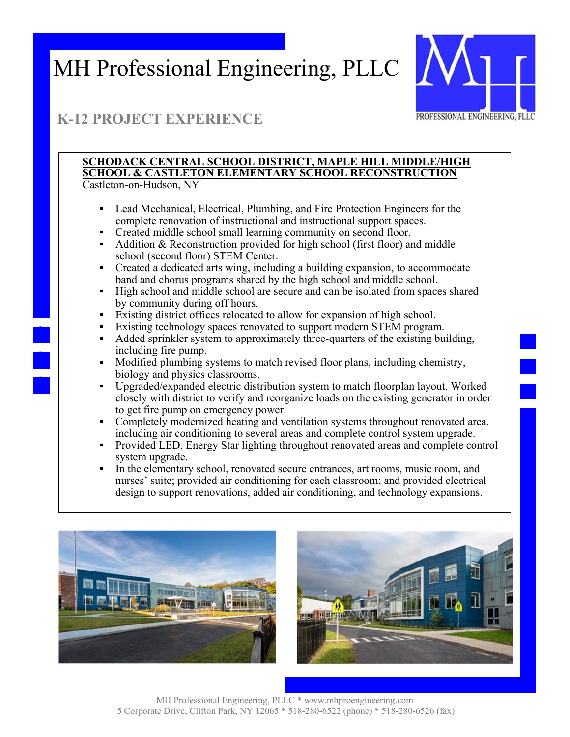

## **K-12 PROJECT EXPERIENCE**

#### **SCHODACK CENTRAL SCHOOL DISTRICT, MAPLE HILL MIDDLE/HIGH SCHOOL & CASTLETON ELEMENTARY SCHOOL RECONSTRUCTION**  Castleton-on-Hudson, NY

- Lead Mechanical, Electrical, Plumbing, and Fire Protection Engineers for the complete renovation of instructional and instructional support spaces.
- Created middle school small learning community on second floor.
- Addition & Reconstruction provided for high school (first floor) and middle school (second floor) STEM Center.
- Created a dedicated arts wing, including a building expansion, to accommodate band and chorus programs shared by the high school and middle school.
- High school and middle school are secure and can be isolated from spaces shared by community during off hours.
- Existing district offices relocated to allow for expansion of high school.
- Existing technology spaces renovated to support modern STEM program.
- Added sprinkler system to approximately three-quarters of the existing building, including fire pump.
- Modified plumbing systems to match revised floor plans, including chemistry, biology and physics classrooms.
- Upgraded/expanded electric distribution system to match floorplan layout. Worked closely with district to verify and reorganize loads on the existing generator in order to get fire pump on emergency power.
- Completely modernized heating and ventilation systems throughout renovated area, including air conditioning to several areas and complete control system upgrade.
- Provided LED, Energy Star lighting throughout renovated areas and complete control system upgrade.
- In the elementary school, renovated secure entrances, art rooms, music room, and nurses' suite; provided air conditioning for each classroom; and provided electrical design to support renovations, added air conditioning, and technology expansions.



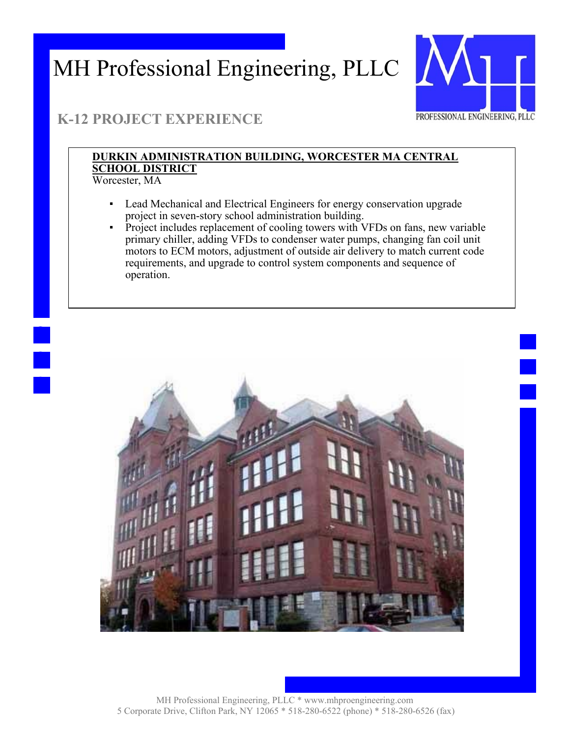

## **K-12 PROJECT EXPERIENCE**

#### **DURKIN ADMINISTRATION BUILDING, WORCESTER MA CENTRAL SCHOOL DISTRICT**  Worcester, MA

- - Lead Mechanical and Electrical Engineers for energy conservation upgrade project in seven-story school administration building.
	- Project includes replacement of cooling towers with VFDs on fans, new variable primary chiller, adding VFDs to condenser water pumps, changing fan coil unit motors to ECM motors, adjustment of outside air delivery to match current code requirements, and upgrade to control system components and sequence of operation.

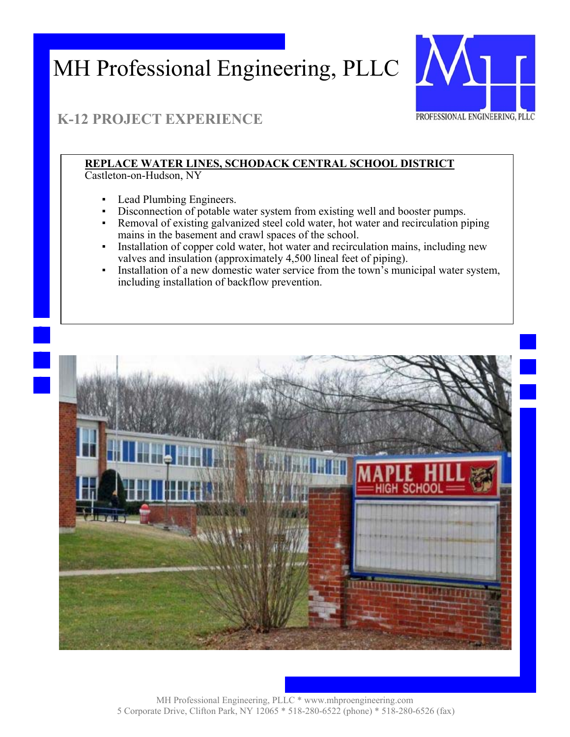

## **K-12 PROJECT EXPERIENCE**

#### **REPLACE WATER LINES, SCHODACK CENTRAL SCHOOL DISTRICT**

Castleton-on-Hudson, NY

- Lead Plumbing Engineers.
- Disconnection of potable water system from existing well and booster pumps.
- Removal of existing galvanized steel cold water, hot water and recirculation piping mains in the basement and crawl spaces of the school.
- Installation of copper cold water, hot water and recirculation mains, including new valves and insulation (approximately 4,500 lineal feet of piping).
- Installation of a new domestic water service from the town's municipal water system, including installation of backflow prevention.

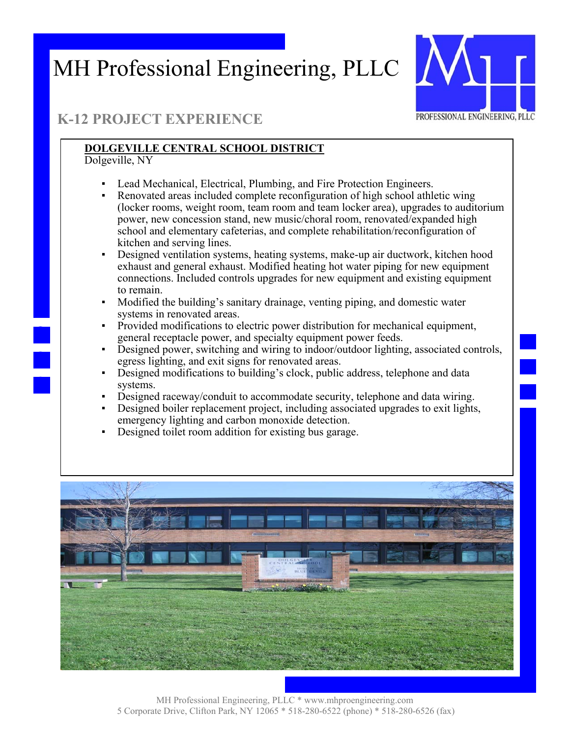

## **K-12 PROJECT EXPERIENCE**

#### **DOLGEVILLE CENTRAL SCHOOL DISTRICT**

Dolgeville, NY

- Lead Mechanical, Electrical, Plumbing, and Fire Protection Engineers.
- Renovated areas included complete reconfiguration of high school athletic wing (locker rooms, weight room, team room and team locker area), upgrades to auditorium power, new concession stand, new music/choral room, renovated/expanded high school and elementary cafeterias, and complete rehabilitation/reconfiguration of kitchen and serving lines.
- Designed ventilation systems, heating systems, make-up air ductwork, kitchen hood exhaust and general exhaust. Modified heating hot water piping for new equipment connections. Included controls upgrades for new equipment and existing equipment to remain.
- Modified the building's sanitary drainage, venting piping, and domestic water systems in renovated areas.
- Provided modifications to electric power distribution for mechanical equipment, general receptacle power, and specialty equipment power feeds.
- Designed power, switching and wiring to indoor/outdoor lighting, associated controls, egress lighting, and exit signs for renovated areas.
- Designed modifications to building's clock, public address, telephone and data systems.
- Designed raceway/conduit to accommodate security, telephone and data wiring.
- Designed boiler replacement project, including associated upgrades to exit lights, emergency lighting and carbon monoxide detection.
- Designed toilet room addition for existing bus garage.

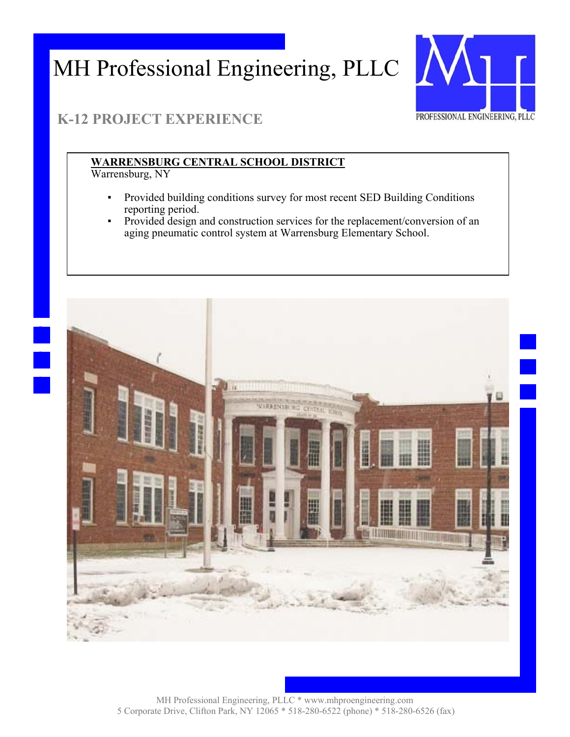

## **K-12 PROJECT EXPERIENCE**

#### **WARRENSBURG CENTRAL SCHOOL DISTRICT**

Warrensburg, NY

- Provided building conditions survey for most recent SED Building Conditions reporting period.
- Provided design and construction services for the replacement/conversion of an aging pneumatic control system at Warrensburg Elementary School.

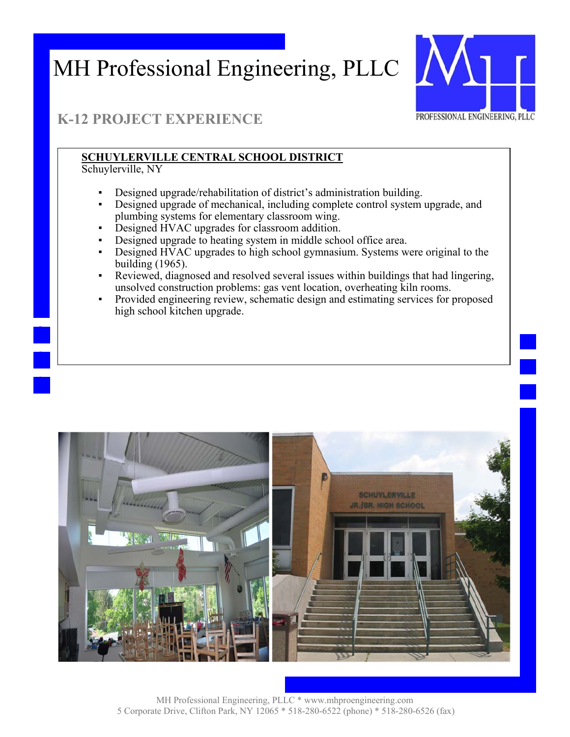

### **K-12 PROJECT EXPERIENCE**

#### **SCHUYLERVILLE CENTRAL SCHOOL DISTRICT**

Schuylerville, NY

- Designed upgrade/rehabilitation of district's administration building.
- Designed upgrade of mechanical, including complete control system upgrade, and plumbing systems for elementary classroom wing.
- Designed HVAC upgrades for classroom addition.
- Designed upgrade to heating system in middle school office area.
- Designed HVAC upgrades to high school gymnasium. Systems were original to the building (1965).
- Reviewed, diagnosed and resolved several issues within buildings that had lingering, unsolved construction problems: gas vent location, overheating kiln rooms.
- Provided engineering review, schematic design and estimating services for proposed high school kitchen upgrade.

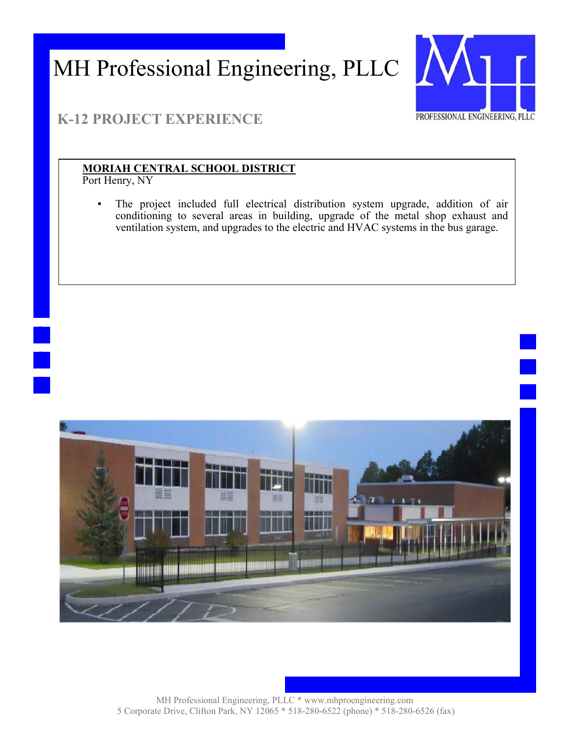

### **K-12 PROJECT EXPERIENCE**

#### **MORIAH CENTRAL SCHOOL DISTRICT**

Port Henry, NY

The project included full electrical distribution system upgrade, addition of air conditioning to several areas in building, upgrade of the metal shop exhaust and ventilation system, and upgrades to the electric and HVAC systems in the bus garage.

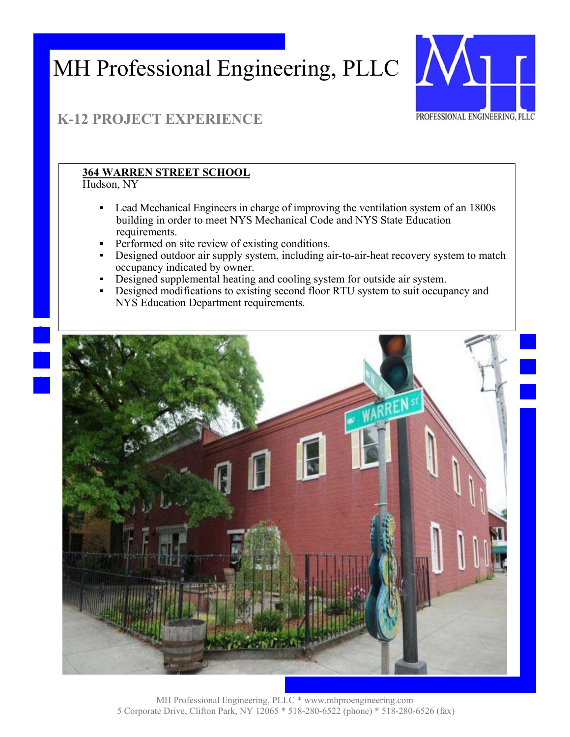

# **K-12 PROJECT EXPERIENCE**

### **364 WARREN STREET SCHOOL**

Hudson, NY

- Lead Mechanical Engineers in charge of improving the ventilation system of an 1800s building in order to meet NYS Mechanical Code and NYS State Education requirements.
- **•** Performed on site review of existing conditions.
- **•** Designed outdoor air supply system, including air-to-air-heat recovery system to match occupancy indicated by owner.
- Designed supplemental heating and cooling system for outside air system.
- Designed modifications to existing second floor RTU system to suit occupancy and NYS Education Department requirements.

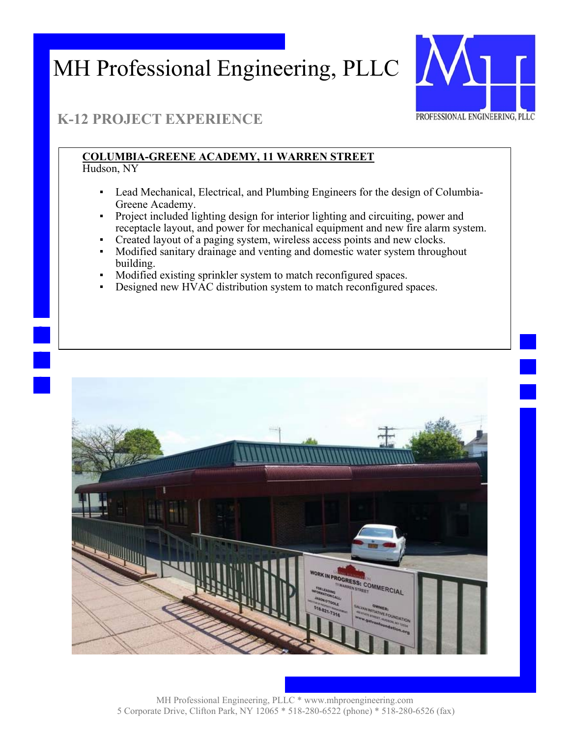

### **K-12 PROJECT EXPERIENCE**

#### **COLUMBIA-GREENE ACADEMY, 11 WARREN STREET**  Hudson, NY

- Lead Mechanical, Electrical, and Plumbing Engineers for the design of Columbia-Greene Academy.
- Project included lighting design for interior lighting and circuiting, power and receptacle layout, and power for mechanical equipment and new fire alarm system.
- Created layout of a paging system, wireless access points and new clocks.
- Modified sanitary drainage and venting and domestic water system throughout building.
- Modified existing sprinkler system to match reconfigured spaces.
- Designed new HVAC distribution system to match reconfigured spaces.

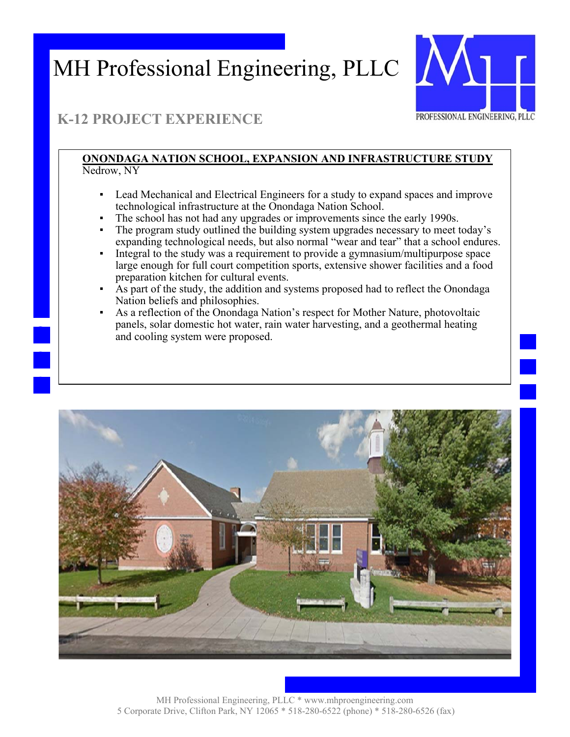

## **K-12 PROJECT EXPERIENCE**

#### **ONONDAGA NATION SCHOOL, EXPANSION AND INFRASTRUCTURE STUDY**  Nedrow, NY

- Lead Mechanical and Electrical Engineers for a study to expand spaces and improve technological infrastructure at the Onondaga Nation School.
- The school has not had any upgrades or improvements since the early 1990s.
- The program study outlined the building system upgrades necessary to meet today's expanding technological needs, but also normal "wear and tear" that a school endures.
- Integral to the study was a requirement to provide a gymnasium/multipurpose space large enough for full court competition sports, extensive shower facilities and a food preparation kitchen for cultural events.
- As part of the study, the addition and systems proposed had to reflect the Onondaga Nation beliefs and philosophies.
- As a reflection of the Onondaga Nation's respect for Mother Nature, photovoltaic panels, solar domestic hot water, rain water harvesting, and a geothermal heating and cooling system were proposed.

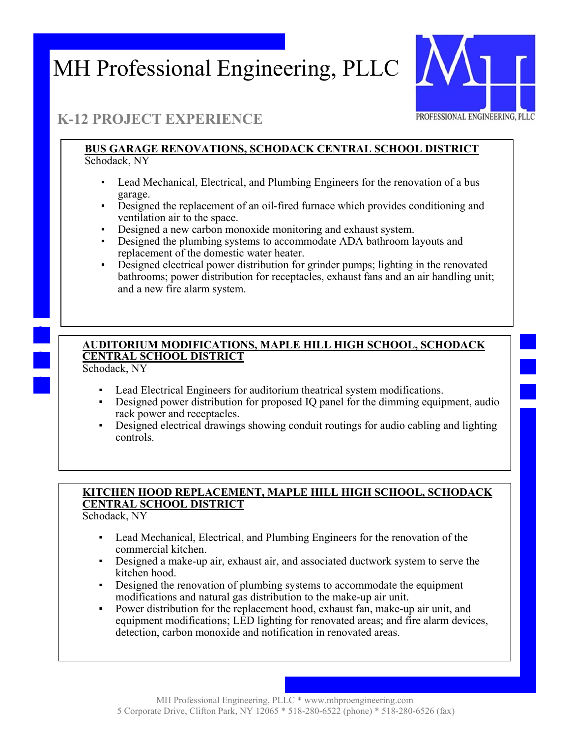

### **K-12 PROJECT EXPERIENCE**

#### **BUS GARAGE RENOVATIONS, SCHODACK CENTRAL SCHOOL DISTRICT**  Schodack, NY

- Lead Mechanical, Electrical, and Plumbing Engineers for the renovation of a bus garage.
- Designed the replacement of an oil-fired furnace which provides conditioning and ventilation air to the space.
- Designed a new carbon monoxide monitoring and exhaust system.
- **•** Designed the plumbing systems to accommodate ADA bathroom layouts and replacement of the domestic water heater.
- **•** Designed electrical power distribution for grinder pumps; lighting in the renovated bathrooms; power distribution for receptacles, exhaust fans and an air handling unit; and a new fire alarm system.

### **AUDITORIUM MODIFICATIONS, MAPLE HILL HIGH SCHOOL, SCHODACK CENTRAL SCHOOL DISTRICT**

Schodack, NY

- Lead Electrical Engineers for auditorium theatrical system modifications.
- Designed power distribution for proposed IQ panel for the dimming equipment, audio rack power and receptacles.
- Designed electrical drawings showing conduit routings for audio cabling and lighting controls.

#### **KITCHEN HOOD REPLACEMENT, MAPLE HILL HIGH SCHOOL, SCHODACK CENTRAL SCHOOL DISTRICT**

Schodack, NY

- Lead Mechanical, Electrical, and Plumbing Engineers for the renovation of the commercial kitchen.
- Designed a make-up air, exhaust air, and associated ductwork system to serve the kitchen hood.
- Designed the renovation of plumbing systems to accommodate the equipment modifications and natural gas distribution to the make-up air unit.
- Power distribution for the replacement hood, exhaust fan, make-up air unit, and equipment modifications; LED lighting for renovated areas; and fire alarm devices, detection, carbon monoxide and notification in renovated areas.